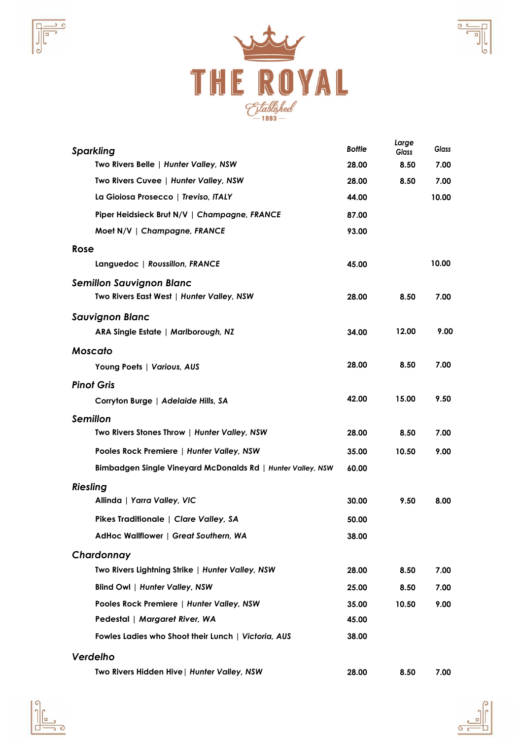





| <b>Sparkling</b>                                            | <b>Bottle</b> | Large<br><b>Glass</b> | <b>Glass</b> |
|-------------------------------------------------------------|---------------|-----------------------|--------------|
| Two Rivers Belle   Hunter Valley, NSW                       | 28.00         | 8.50                  | 7.00         |
| Two Rivers Cuvee   Hunter Valley, NSW                       | 28.00         | 8.50                  | 7.00         |
| La Gioiosa Prosecco   Treviso, ITALY                        | 44.00         |                       | 10.00        |
| Piper Heidsieck Brut N/V   Champagne, FRANCE                | 87.00         |                       |              |
| Moet N/V   Champagne, FRANCE                                | 93.00         |                       |              |
| Rose                                                        |               |                       |              |
| Languedoc   Roussillon, FRANCE                              | 45.00         |                       | 10.00        |
| <b>Semillon Sauvignon Blanc</b>                             |               |                       |              |
| Two Rivers East West   Hunter Valley, NSW                   | 28.00         | 8.50                  | 7.00         |
| <b>Sauvignon Blanc</b>                                      |               |                       |              |
| ARA Single Estate   Marlborough, NZ                         | 34.00         | 12.00                 | 9.00         |
| <b>Moscato</b>                                              |               |                       |              |
| Young Poets   Various, AUS                                  | 28.00         | 8.50                  | 7.00         |
| <b>Pinot Gris</b>                                           |               |                       |              |
| Corryton Burge   Adelaide Hills, SA                         | 42.00         | 15.00                 | 9.50         |
| <b>Semillon</b>                                             |               |                       |              |
| Two Rivers Stones Throw   Hunter Valley, NSW                | 28.00         | 8.50                  | 7.00         |
| Pooles Rock Premiere   Hunter Valley, NSW                   | 35.00         | 10.50                 | 9.00         |
| Bimbadgen Single Vineyard McDonalds Rd   Hunter Valley, NSW | 60.00         |                       |              |
| <b>Riesling</b>                                             |               |                       |              |
| Allinda   Yarra Valley, VIC                                 | 30.00         | 9.50                  | 8.00         |
| Pikes Traditionale   Clare Valley, SA                       | 50.00         |                       |              |
| AdHoc Wallflower   Great Southern, WA                       | 38.00         |                       |              |
| Chardonnay                                                  |               |                       |              |
| Two Rivers Lightning Strike   Hunter Valley, NSW            | 28.00         | 8.50                  | 7.00         |
| Blind Owl   Hunter Valley, NSW                              | 25.00         | 8.50                  | 7.00         |
| Pooles Rock Premiere   Hunter Valley, NSW                   | 35.00         | 10.50                 | 9.00         |
| Pedestal   Margaret River, WA                               | 45.00         |                       |              |
| Fowles Ladies who Shoot their Lunch   Victoria, AUS         | 38.00         |                       |              |
| Verdelho                                                    |               |                       |              |
| Two Rivers Hidden Hive   Hunter Valley, NSW                 | 28.00         | 8.50                  | 7.00         |